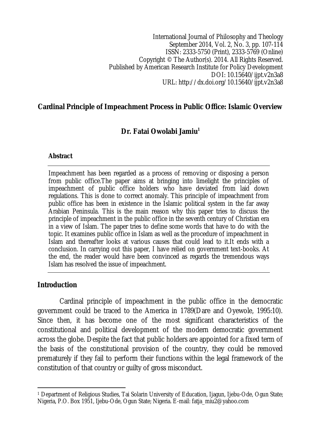International Journal of Philosophy and Theology September 2014, Vol. 2, No. 3, pp. 107-114 ISSN: 2333-5750 (Print), 2333-5769 (Online) Copyright © The Author(s). 2014. All Rights Reserved. Published by American Research Institute for Policy Development DOI: 10.15640/ijpt.v2n3a8 URL: http://dx.doi.org/10.15640/ijpt.v2n3a8

#### **Cardinal Principle of Impeachment Process in Public Office: Islamic Overview**

## **Dr. Fatai Owolabi Jamiu<sup>1</sup>**

#### **Abstract**

Impeachment has been regarded as a process of removing or disposing a person from public office.The paper aims at bringing into limelight the principles of impeachment of public office holders who have deviated from laid down regulations. This is done to correct anomaly. This principle of impeachment from public office has been in existence in the Islamic political system in the far away Arabian Peninsula. This is the main reason why this paper tries to discuss the principle of impeachment in the public office in the seventh century of Christian era in a view of Islam. The paper tries to define some words that have to do with the topic. It examines public office in Islam as well as the procedure of impeachment in Islam and thereafter looks at various causes that could lead to it.It ends with a conclusion. In carrying out this paper, I have relied on government text-books. At the end, the reader would have been convinced as regards the tremendous ways Islam has resolved the issue of impeachment.

#### **Introduction**

Cardinal principle of impeachment in the public office in the democratic government could be traced to the America in 1789(Dare and Oyewole, 1995:10). Since then, it has become one of the most significant characteristics of the constitutional and political development of the modern democratic government across the globe. Despite the fact that public holders are appointed for a fixed term of the basis of the constitutional provision of the country, they could be removed prematurely if they fail to perform their functions within the legal framework of the constitution of that country or guilty of gross misconduct.

 $\overline{a}$ <sup>1</sup> Department of Religious Studies, Tai Solarin University of Education, Ijagun, Ijebu-Ode, Ogun State; Nigeria, P.O. Box 1951, Ijebu-Ode, Ogun State; Nigeria. E-mail: fatja\_miu2@yahoo.com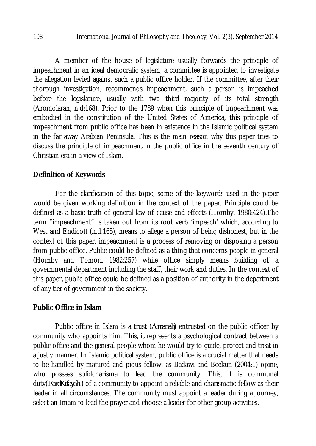A member of the house of legislature usually forwards the principle of impeachment in an ideal democratic system, a committee is appointed to investigate the allegation levied against such a public office holder. If the committee, after their thorough investigation, recommends impeachment, such a person is impeached before the legislature, usually with two third majority of its total strength (Aromolaran, n.d:168). Prior to the 1789 when this principle of impeachment was embodied in the constitution of the United States of America, this principle of impeachment from public office has been in existence in the Islamic political system in the far away Arabian Peninsula. This is the main reason why this paper tries to discuss the principle of impeachment in the public office in the seventh century of Christian era in a view of Islam.

## **Definition of Keywords**

For the clarification of this topic, some of the keywords used in the paper would be given working definition in the context of the paper. Principle could be defined as a basic truth of general law of cause and effects (Hornby, 1980:424).The term "impeachment" is taken out from its root verb 'impeach' which, according to West and Endicott (n.d:165), means to allege a person of being dishonest, but in the context of this paper, impeachment is a process of removing or disposing a person from public office. Public could be defined as a thing that concerns people in general (Hornby and Tomori, 1982:257) while office simply means building of a governmental department including the staff, their work and duties. In the context of this paper, public office could be defined as a position of authority in the department of any tier of government in the society.

## **Public Office in Islam**

Public office in Islam is a trust (*Amanah*) entrusted on the public officer by community who appoints him. This, it represents a psychological contract between a public office and the general people whom he would try to guide, protect and treat in a justly manner. In Islamic political system, public office is a crucial matter that needs to be handled by matured and pious fellow, as Badawi and Beekun (2004:1) opine, who possess solidcharisma to lead the community. This, it is communal duty(*FardKifayah* ) of a community to appoint a reliable and charismatic fellow as their leader in all circumstances. The community must appoint a leader during a journey, select an Imam to lead the prayer and choose a leader for other group activities.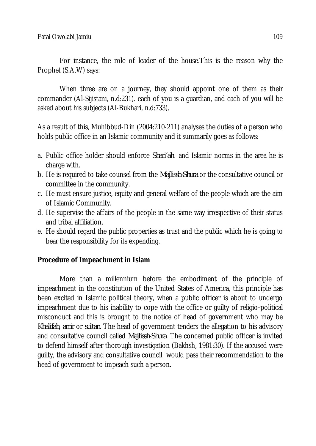For instance, the role of leader of the house.This is the reason why the Prophet (S.A.W) says:

When three are on a journey, they should appoint one of them as their commander (Al-Sijistani, n.d:231). each of you is a guardian, and each of you will be asked about his subjects (Al-Bukhari, n.d:733).

As a result of this, Muhibbud-Din (2004:210-211) analyses the duties of a person who holds public office in an Islamic community and it summarily goes as follows:

- a. Public office holder should enforce *Shari'ah* and Islamic norms in the area he is charge with.
- b. He is required to take counsel from the *Majlissh-Shura* or the consultative council or committee in the community.
- c. He must ensure justice, equity and general welfare of the people which are the aim of Islamic Community.
- d. He supervise the affairs of the people in the same way irrespective of their status and tribal affiliation.
- e. He should regard the public properties as trust and the public which he is going to bear the responsibility for its expending.

## **Procedure of Impeachment in Islam**

More than a millennium before the embodiment of the principle of impeachment in the constitution of the United States of America, this principle has been excited in Islamic political theory, when a public officer is about to undergo impeachment due to his inability to cope with the office or guilty of religio-political misconduct and this is brought to the notice of head of government who may be *Khalifah*, *amir* or *sultan*. The head of government tenders the allegation to his advisory and consultative council called *Majlissh-Shura*. The concerned public officer is invited to defend himself after thorough investigation (Bakhsh, 1981:30). If the accused were guilty, the advisory and consultative council would pass their recommendation to the head of government to impeach such a person.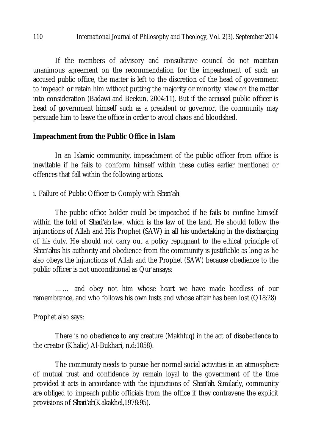If the members of advisory and consultative council do not maintain unanimous agreement on the recommendation for the impeachment of such an accused public office, the matter is left to the discretion of the head of government to impeach or retain him without putting the majority or minority view on the matter into consideration (Badawi and Beekun, 2004:11). But if the accused public officer is head of government himself such as a president or governor, the community may persuade him to leave the office in order to avoid chaos and bloodshed.

## **Impeachment from the Public Office in Islam**

In an Islamic community, impeachment of the public officer from office is inevitable if he fails to conform himself within these duties earlier mentioned or offences that fall within the following actions.

i. Failure of Public Officer to Comply with *Shari'ah*

The public office holder could be impeached if he fails to confine himself within the fold of *Shari'ah* law, which is the law of the land. He should follow the injunctions of Allah and His Prophet (SAW) in all his undertaking in the discharging of his duty. He should not carry out a policy repugnant to the ethical principle of *Shari'ah*as his authority and obedience from the community is justifiable as long as he also obeys the injunctions of Allah and the Prophet (SAW) because obedience to the public officer is not unconditional as Qur'ansays:

…… and obey not him whose heart we have made heedless of our remembrance, and who follows his own lusts and whose affair has been lost (Q18:28)

## Prophet also says:

There is no obedience to any creature (Makhluq) in the act of disobedience to the creator (Khaliq) Al-Bukhari, n.d:1058).

The community needs to pursue her normal social activities in an atmosphere of mutual trust and confidence by remain loyal to the government of the time provided it acts in accordance with the injunctions of *Shari'ah*. Similarly, community are obliged to impeach public officials from the office if they contravene the explicit provisions of *Shari'ah*(Kakakhel,1978:95).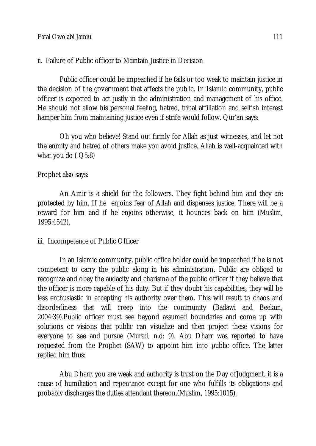ii. Failure of Public officer to Maintain Justice in Decision

Public officer could be impeached if he fails or too weak to maintain justice in the decision of the government that affects the public. In Islamic community, public officer is expected to act justly in the administration and management of his office. He should not allow his personal feeling, hatred, tribal affiliation and selfish interest hamper him from maintaining justice even if strife would follow. Qur'an says:

Oh you who believe! Stand out firmly for Allah as just witnesses, and let not the enmity and hatred of others make you avoid justice. Allah is well-acquainted with what you do  $($   $Q5:8)$ 

Prophet also says:

An Amir is a shield for the followers. They fight behind him and they are protected by him. If he enjoins fear of Allah and dispenses justice. There will be a reward for him and if he enjoins otherwise, it bounces back on him (Muslim, 1995:4542).

iii. Incompetence of Public Officer

In an Islamic community, public office holder could be impeached if he is not competent to carry the public along in his administration. Public are obliged to recognize and obey the audacity and charisma of the public officer if they believe that the officer is more capable of his duty. But if they doubt his capabilities, they will be less enthusiastic in accepting his authority over them. This will result to chaos and disorderliness that will creep into the community (Badawi and Beekun, 2004:39).Public officer must see beyond assumed boundaries and come up with solutions or visions that public can visualize and then project these visions for everyone to see and pursue (Murad, n.d: 9). Abu Dharr was reported to have requested from the Prophet (SAW) to appoint him into public office. The latter replied him thus:

Abu Dharr, you are weak and authority is trust on the Day ofJudgment, it is a cause of humiliation and repentance except for one who fulfills its obligations and probably discharges the duties attendant thereon.(Muslim, 1995:1015).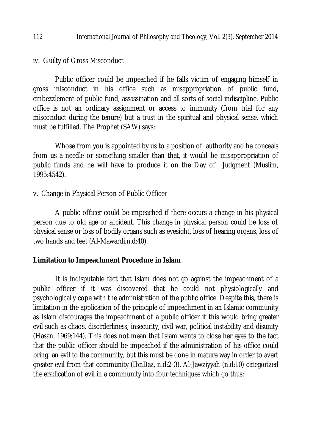#### 112 International Journal of Philosophy and Theology, Vol. 2(3), September 2014

iv. Guilty of Gross Misconduct

Public officer could be impeached if he falls victim of engaging himself in gross misconduct in his office such as misappropriation of public fund, embezzlement of public fund, assassination and all sorts of social indiscipline. Public office is not an ordinary assignment or access to immunity (from trial for any misconduct during the tenure) but a trust in the spiritual and physical sense, which must be fulfilled. The Prophet (SAW) says:

Whose from you is appointed by us to a position of authority and he conceals from us a needle or something smaller than that, it would be misappropriation of public funds and he will have to produce it on the Day of Judgment (Muslim, 1995:4542).

## v. Change in Physical Person of Public Officer

A public officer could be impeached if there occurs a change in his physical person due to old age or accident. This change in physical person could be loss of physical sense or loss of bodily organs such as eyesight, loss of hearing organs, loss of two hands and feet (Al-Mawardi,n.d:40).

## **Limitation to Impeachment Procedure in Islam**

It is indisputable fact that Islam does not go against the impeachment of a public officer if it was discovered that he could not physiologically and psychologically cope with the administration of the public office. Despite this, there is limitation in the application of the principle of impeachment in an Islamic community as Islam discourages the impeachment of a public officer if this would bring greater evil such as chaos, disorderliness, insecurity, civil war, political instability and disunity (Hasan, 1969:144). This does not mean that Islam wants to close her eyes to the fact that the public officer should be impeached if the administration of his office could bring an evil to the community, but this must be done in mature way in order to avert greater evil from that community (IbnBaz, n.d:2-3). Al-Jawziyyah (n.d:10) categorized the eradication of evil in a community into four techniques which go thus: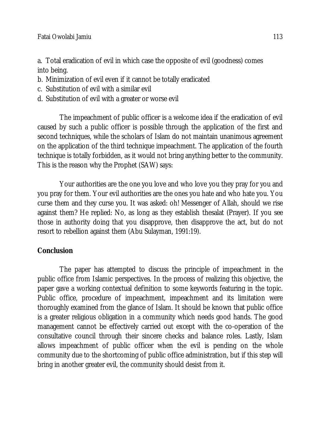a. Total eradication of evil in which case the opposite of evil (goodness) comes into being.

- b. Minimization of evil even if it cannot be totally eradicated
- c. Substitution of evil with a similar evil
- d. Substitution of evil with a greater or worse evil

The impeachment of public officer is a welcome idea if the eradication of evil caused by such a public officer is possible through the application of the first and second techniques, while the scholars of Islam do not maintain unanimous agreement on the application of the third technique impeachment. The application of the fourth technique is totally forbidden, as it would not bring anything better to the community. This is the reason why the Prophet (SAW) says:

Your authorities are the one you love and who love you they pray for you and you pray for them. Your evil authorities are the ones you hate and who hate you. You curse them and they curse you. It was asked: oh! Messenger of Allah, should we rise against them? He replied: No, as long as they establish thesalat (Prayer). If you see those in authority doing that you disapprove, then disapprove the act, but do not resort to rebellion against them (Abu Sulayman, 1991:19).

# **Conclusion**

The paper has attempted to discuss the principle of impeachment in the public office from Islamic perspectives. In the process of realizing this objective, the paper gave a working contextual definition to some keywords featuring in the topic. Public office, procedure of impeachment, impeachment and its limitation were thoroughly examined from the glance of Islam. It should be known that public office is a greater religious obligation in a community which needs good hands. The good management cannot be effectively carried out except with the co-operation of the consultative council through their sincere checks and balance roles. Lastly, Islam allows impeachment of public officer when the evil is pending on the whole community due to the shortcoming of public office administration, but if this step will bring in another greater evil, the community should desist from it.